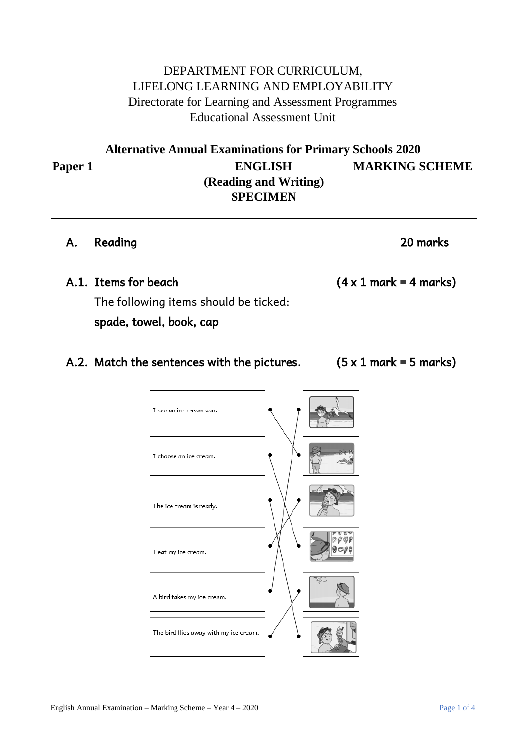## DEPARTMENT FOR CURRICULUM, LIFELONG LEARNING AND EMPLOYABILITY Directorate for Learning and Assessment Programmes Educational Assessment Unit

**Alternative Annual Examinations for Primary Schools 2020 Paper 1 ENGLISH MARKING SCHEME (Reading and Writing) SPECIMEN**

### A. Reading 20 marks

### A.1. Items for beach  $(4 \times 1 \text{ mark} = 4 \text{ marks})$

 The following items should be ticked: spade, towel, book, cap

I see an ice cream van.

## A.2. Match the sentences with the pictures.  $(5 \times 1 \text{ mark} = 5 \text{ marks})$

| I choose an ice cream.                 |  |
|----------------------------------------|--|
| The ice cream is ready.                |  |
| I eat my ice cream.                    |  |
| A bird takes my ice cream.             |  |
| The bird flies away with my ice cream. |  |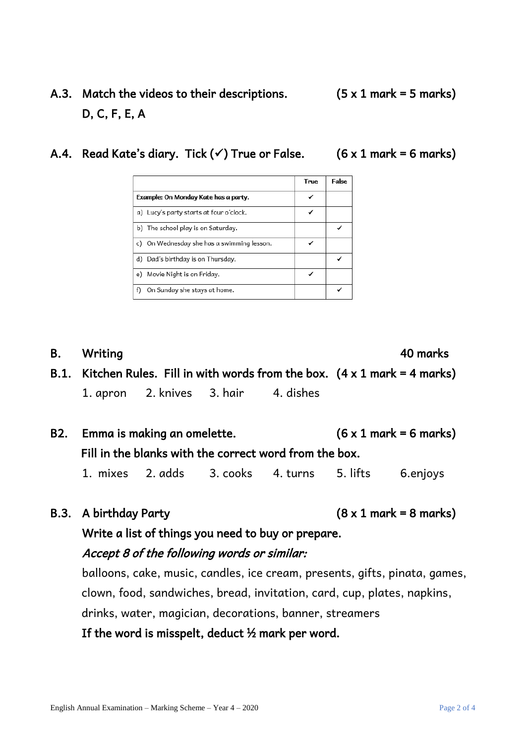# A.3. Match the videos to their descriptions.  $(5 \times 1 \text{ mark} = 5 \text{ marks})$ D, C, F, E, A

A.4. Read Kate's diary. Tick  $(\checkmark)$  True or False. (6 x 1 mark = 6 marks)

B. Writing 40 marks B.1. Kitchen Rules. Fill in with words from the box.  $(4 \times 1 \text{ mark} = 4 \text{ marks})$ 1. apron 2. knives 3. hair 4. dishes

- B2. Emma is making an omelette.  $(6 \times 1 \text{ mark} = 6 \text{ marks})$  Fill in the blanks with the correct word from the box. 1. mixes 2. adds 3. cooks 4. turns 5. lifts 6.enjoys
- B.3. A birthday Party  $(8 \times 1 \text{ mark} = 8 \text{ marks})$

Write a list of things you need to buy or prepare.

## Accept 8 of the following words or similar:

balloons, cake, music, candles, ice cream, presents, gifts, pinata, games, clown, food, sandwiches, bread, invitation, card, cup, plates, napkins, drinks, water, magician, decorations, banner, streamers

If the word is misspelt, deduct  $\frac{1}{2}$  mark per word.

|                                               | True | <b>False</b> |
|-----------------------------------------------|------|--------------|
| Example: On Monday Kate has a party.          |      |              |
| a) Lucy's party starts at four o'clock.       |      |              |
| b) The school play is on Saturday.            |      |              |
| On Wednesday she has a swimming lesson.<br>c) |      |              |
| d) Dad's birthday is on Thursday.             |      |              |
| Movie Night is on Friday.<br>e)               |      |              |
| On Sunday she stays at home.                  |      |              |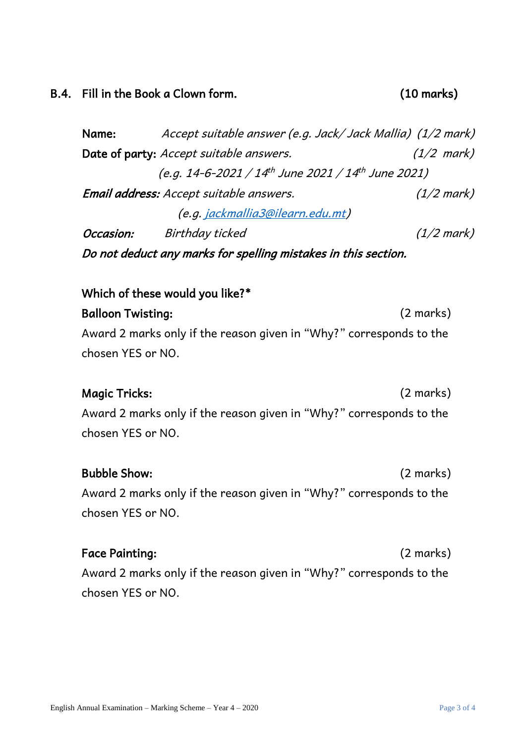#### B.4. Fill in the Book a Clown form. (10 marks)

 Name: Accept suitable answer (e.g. Jack/ Jack Mallia) (1/2 mark) Date of party: Accept suitable answers. (1/2 mark) (e.g. 14-6-2021 / 14<sup>th</sup> June 2021 / 14<sup>th</sup> June 2021) Email address: Accept suitable answers. (1/2 mark) (e.g. [jackmallia3@ilearn.edu.mt\)](mailto:jackmallia3@ilearn.edu.mt) Occasion: Birthday ticked (1/2 mark)

Do not deduct any marks for spelling mistakes in this section.

### Which of these would you like?\*

 Balloon Twisting: (2 marks) Award 2 marks only if the reason given in "Why?" corresponds to the chosen YES or NO.

## Magic Tricks: (2 marks)

 Award 2 marks only if the reason given in "Why?" corresponds to the chosen YES or NO.

#### Bubble Show: (2 marks)

 Award 2 marks only if the reason given in "Why?" corresponds to the chosen YES or NO.

#### Face Painting: (2 marks)

 Award 2 marks only if the reason given in "Why?" corresponds to the chosen YES or NO.